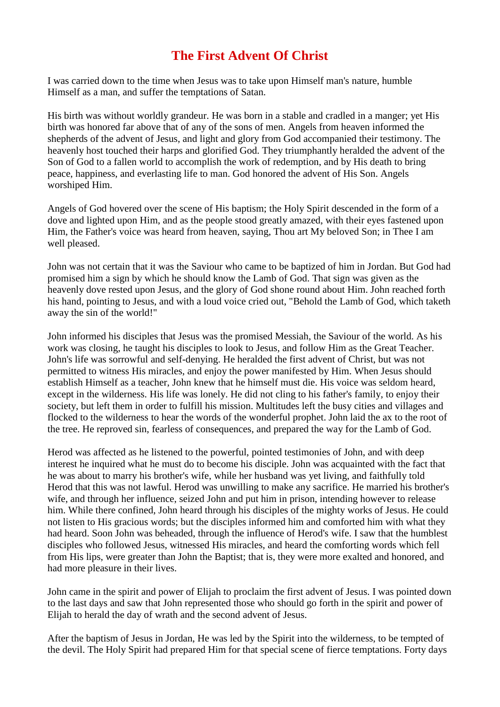## **The First Advent Of Christ**

I was carried down to the time when Jesus was to take upon Himself man's nature, humble Himself as a man, and suffer the temptations of Satan.

His birth was without worldly grandeur. He was born in a stable and cradled in a manger; yet His birth was honored far above that of any of the sons of men. Angels from heaven informed the shepherds of the advent of Jesus, and light and glory from God accompanied their testimony. The heavenly host touched their harps and glorified God. They triumphantly heralded the advent of the Son of God to a fallen world to accomplish the work of redemption, and by His death to bring peace, happiness, and everlasting life to man. God honored the advent of His Son. Angels worshiped Him.

Angels of God hovered over the scene of His baptism; the Holy Spirit descended in the form of a dove and lighted upon Him, and as the people stood greatly amazed, with their eyes fastened upon Him, the Father's voice was heard from heaven, saying, Thou art My beloved Son; in Thee I am well pleased.

John was not certain that it was the Saviour who came to be baptized of him in Jordan. But God had promised him a sign by which he should know the Lamb of God. That sign was given as the heavenly dove rested upon Jesus, and the glory of God shone round about Him. John reached forth his hand, pointing to Jesus, and with a loud voice cried out, "Behold the Lamb of God, which taketh away the sin of the world!"

John informed his disciples that Jesus was the promised Messiah, the Saviour of the world. As his work was closing, he taught his disciples to look to Jesus, and follow Him as the Great Teacher. John's life was sorrowful and self-denying. He heralded the first advent of Christ, but was not permitted to witness His miracles, and enjoy the power manifested by Him. When Jesus should establish Himself as a teacher, John knew that he himself must die. His voice was seldom heard, except in the wilderness. His life was lonely. He did not cling to his father's family, to enjoy their society, but left them in order to fulfill his mission. Multitudes left the busy cities and villages and flocked to the wilderness to hear the words of the wonderful prophet. John laid the ax to the root of the tree. He reproved sin, fearless of consequences, and prepared the way for the Lamb of God.

Herod was affected as he listened to the powerful, pointed testimonies of John, and with deep interest he inquired what he must do to become his disciple. John was acquainted with the fact that he was about to marry his brother's wife, while her husband was yet living, and faithfully told Herod that this was not lawful. Herod was unwilling to make any sacrifice. He married his brother's wife, and through her influence, seized John and put him in prison, intending however to release him. While there confined, John heard through his disciples of the mighty works of Jesus. He could not listen to His gracious words; but the disciples informed him and comforted him with what they had heard. Soon John was beheaded, through the influence of Herod's wife. I saw that the humblest disciples who followed Jesus, witnessed His miracles, and heard the comforting words which fell from His lips, were greater than John the Baptist; that is, they were more exalted and honored, and had more pleasure in their lives.

John came in the spirit and power of Elijah to proclaim the first advent of Jesus. I was pointed down to the last days and saw that John represented those who should go forth in the spirit and power of Elijah to herald the day of wrath and the second advent of Jesus.

After the baptism of Jesus in Jordan, He was led by the Spirit into the wilderness, to be tempted of the devil. The Holy Spirit had prepared Him for that special scene of fierce temptations. Forty days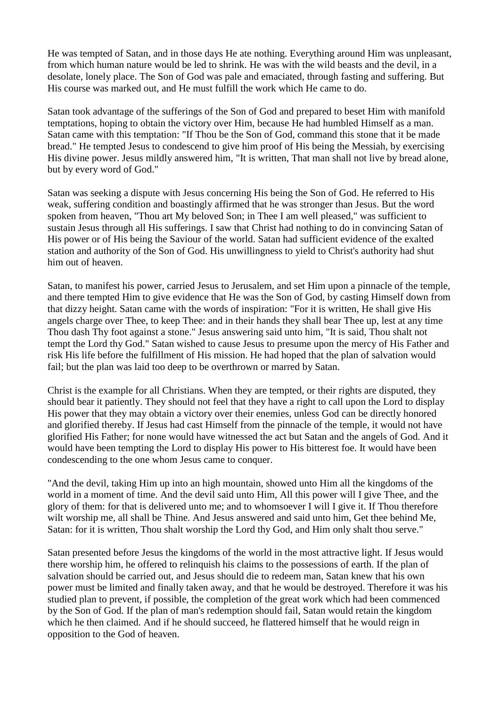He was tempted of Satan, and in those days He ate nothing. Everything around Him was unpleasant, from which human nature would be led to shrink. He was with the wild beasts and the devil, in a desolate, lonely place. The Son of God was pale and emaciated, through fasting and suffering. But His course was marked out, and He must fulfill the work which He came to do.

Satan took advantage of the sufferings of the Son of God and prepared to beset Him with manifold temptations, hoping to obtain the victory over Him, because He had humbled Himself as a man. Satan came with this temptation: "If Thou be the Son of God, command this stone that it be made bread." He tempted Jesus to condescend to give him proof of His being the Messiah, by exercising His divine power. Jesus mildly answered him, "It is written, That man shall not live by bread alone, but by every word of God."

Satan was seeking a dispute with Jesus concerning His being the Son of God. He referred to His weak, suffering condition and boastingly affirmed that he was stronger than Jesus. But the word spoken from heaven, "Thou art My beloved Son; in Thee I am well pleased," was sufficient to sustain Jesus through all His sufferings. I saw that Christ had nothing to do in convincing Satan of His power or of His being the Saviour of the world. Satan had sufficient evidence of the exalted station and authority of the Son of God. His unwillingness to yield to Christ's authority had shut him out of heaven.

Satan, to manifest his power, carried Jesus to Jerusalem, and set Him upon a pinnacle of the temple, and there tempted Him to give evidence that He was the Son of God, by casting Himself down from that dizzy height. Satan came with the words of inspiration: "For it is written, He shall give His angels charge over Thee, to keep Thee: and in their hands they shall bear Thee up, lest at any time Thou dash Thy foot against a stone." Jesus answering said unto him, "It is said, Thou shalt not tempt the Lord thy God." Satan wished to cause Jesus to presume upon the mercy of His Father and risk His life before the fulfillment of His mission. He had hoped that the plan of salvation would fail; but the plan was laid too deep to be overthrown or marred by Satan.

Christ is the example for all Christians. When they are tempted, or their rights are disputed, they should bear it patiently. They should not feel that they have a right to call upon the Lord to display His power that they may obtain a victory over their enemies, unless God can be directly honored and glorified thereby. If Jesus had cast Himself from the pinnacle of the temple, it would not have glorified His Father; for none would have witnessed the act but Satan and the angels of God. And it would have been tempting the Lord to display His power to His bitterest foe. It would have been condescending to the one whom Jesus came to conquer.

"And the devil, taking Him up into an high mountain, showed unto Him all the kingdoms of the world in a moment of time. And the devil said unto Him, All this power will I give Thee, and the glory of them: for that is delivered unto me; and to whomsoever I will I give it. If Thou therefore wilt worship me, all shall be Thine. And Jesus answered and said unto him, Get thee behind Me, Satan: for it is written, Thou shalt worship the Lord thy God, and Him only shalt thou serve."

Satan presented before Jesus the kingdoms of the world in the most attractive light. If Jesus would there worship him, he offered to relinquish his claims to the possessions of earth. If the plan of salvation should be carried out, and Jesus should die to redeem man, Satan knew that his own power must be limited and finally taken away, and that he would be destroyed. Therefore it was his studied plan to prevent, if possible, the completion of the great work which had been commenced by the Son of God. If the plan of man's redemption should fail, Satan would retain the kingdom which he then claimed. And if he should succeed, he flattered himself that he would reign in opposition to the God of heaven.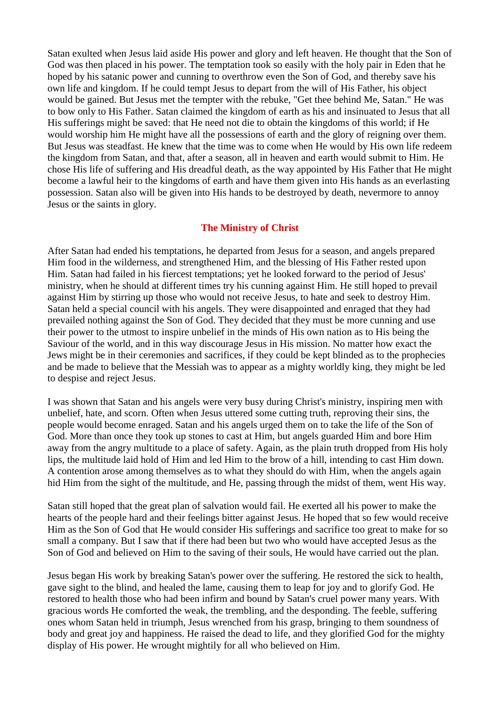Satan exulted when Jesus laid aside His power and glory and left heaven. He thought that the Son of God was then placed in his power. The temptation took so easily with the holy pair in Eden that he hoped by his satanic power and cunning to overthrow even the Son of God, and thereby save his own life and kingdom. If he could tempt Jesus to depart from the will of His Father, his object would be gained. But Jesus met the tempter with the rebuke, "Get thee behind Me, Satan." He was to bow only to His Father. Satan claimed the kingdom of earth as his and insinuated to Jesus that all His sufferings might be saved: that He need not die to obtain the kingdoms of this world; if He would worship him He might have all the possessions of earth and the glory of reigning over them. But Jesus was steadfast. He knew that the time was to come when He would by His own life redeem the kingdom from Satan, and that, after a season, all in heaven and earth would submit to Him. He chose His life of suffering and His dreadful death, as the way appointed by His Father that He might become a lawful heir to the kingdoms of earth and have them given into His hands as an everlasting possession. Satan also will be given into His hands to be destroyed by death, nevermore to annoy Jesus or the saints in glory.

## **The Ministry of Christ**

After Satan had ended his temptations, he departed from Jesus for a season, and angels prepared Him food in the wilderness, and strengthened Him, and the blessing of His Father rested upon Him. Satan had failed in his fiercest temptations; yet he looked forward to the period of Jesus' ministry, when he should at different times try his cunning against Him. He still hoped to prevail against Him by stirring up those who would not receive Jesus, to hate and seek to destroy Him. Satan held a special council with his angels. They were disappointed and enraged that they had prevailed nothing against the Son of God. They decided that they must be more cunning and use their power to the utmost to inspire unbelief in the minds of His own nation as to His being the Saviour of the world, and in this way discourage Jesus in His mission. No matter how exact the Jews might be in their ceremonies and sacrifices, if they could be kept blinded as to the prophecies and be made to believe that the Messiah was to appear as a mighty worldly king, they might be led to despise and reject Jesus.

I was shown that Satan and his angels were very busy during Christ's ministry, inspiring men with unbelief, hate, and scorn. Often when Jesus uttered some cutting truth, reproving their sins, the people would become enraged. Satan and his angels urged them on to take the life of the Son of God. More than once they took up stones to cast at Him, but angels guarded Him and bore Him away from the angry multitude to a place of safety. Again, as the plain truth dropped from His holy lips, the multitude laid hold of Him and led Him to the brow of a hill, intending to cast Him down. A contention arose among themselves as to what they should do with Him, when the angels again hid Him from the sight of the multitude, and He, passing through the midst of them, went His way.

Satan still hoped that the great plan of salvation would fail. He exerted all his power to make the hearts of the people hard and their feelings bitter against Jesus. He hoped that so few would receive Him as the Son of God that He would consider His sufferings and sacrifice too great to make for so small a company. But I saw that if there had been but two who would have accepted Jesus as the Son of God and believed on Him to the saving of their souls, He would have carried out the plan.

Jesus began His work by breaking Satan's power over the suffering. He restored the sick to health, gave sight to the blind, and healed the lame, causing them to leap for joy and to glorify God. He restored to health those who had been infirm and bound by Satan's cruel power many years. With gracious words He comforted the weak, the trembling, and the desponding. The feeble, suffering ones whom Satan held in triumph, Jesus wrenched from his grasp, bringing to them soundness of body and great joy and happiness. He raised the dead to life, and they glorified God for the mighty display of His power. He wrought mightily for all who believed on Him.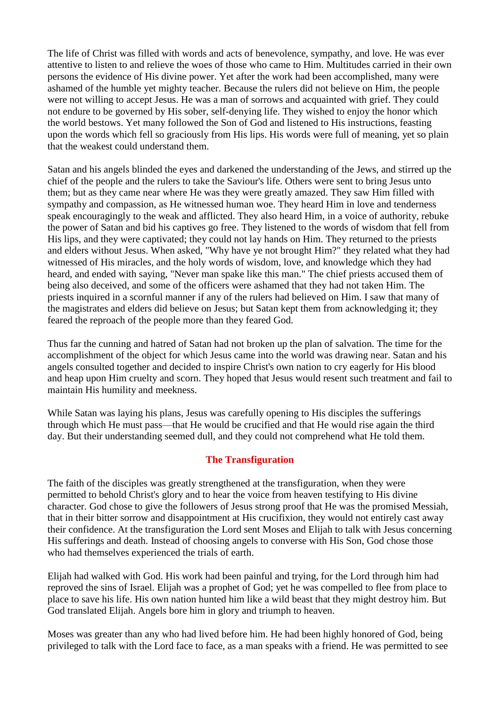The life of Christ was filled with words and acts of benevolence, sympathy, and love. He was ever attentive to listen to and relieve the woes of those who came to Him. Multitudes carried in their own persons the evidence of His divine power. Yet after the work had been accomplished, many were ashamed of the humble yet mighty teacher. Because the rulers did not believe on Him, the people were not willing to accept Jesus. He was a man of sorrows and acquainted with grief. They could not endure to be governed by His sober, self-denying life. They wished to enjoy the honor which the world bestows. Yet many followed the Son of God and listened to His instructions, feasting upon the words which fell so graciously from His lips. His words were full of meaning, yet so plain that the weakest could understand them.

Satan and his angels blinded the eyes and darkened the understanding of the Jews, and stirred up the chief of the people and the rulers to take the Saviour's life. Others were sent to bring Jesus unto them; but as they came near where He was they were greatly amazed. They saw Him filled with sympathy and compassion, as He witnessed human woe. They heard Him in love and tenderness speak encouragingly to the weak and afflicted. They also heard Him, in a voice of authority, rebuke the power of Satan and bid his captives go free. They listened to the words of wisdom that fell from His lips, and they were captivated; they could not lay hands on Him. They returned to the priests and elders without Jesus. When asked, "Why have ye not brought Him?" they related what they had witnessed of His miracles, and the holy words of wisdom, love, and knowledge which they had heard, and ended with saying, "Never man spake like this man." The chief priests accused them of being also deceived, and some of the officers were ashamed that they had not taken Him. The priests inquired in a scornful manner if any of the rulers had believed on Him. I saw that many of the magistrates and elders did believe on Jesus; but Satan kept them from acknowledging it; they feared the reproach of the people more than they feared God.

Thus far the cunning and hatred of Satan had not broken up the plan of salvation. The time for the accomplishment of the object for which Jesus came into the world was drawing near. Satan and his angels consulted together and decided to inspire Christ's own nation to cry eagerly for His blood and heap upon Him cruelty and scorn. They hoped that Jesus would resent such treatment and fail to maintain His humility and meekness.

While Satan was laying his plans, Jesus was carefully opening to His disciples the sufferings through which He must pass—that He would be crucified and that He would rise again the third day. But their understanding seemed dull, and they could not comprehend what He told them.

## **The Transfiguration**

The faith of the disciples was greatly strengthened at the transfiguration, when they were permitted to behold Christ's glory and to hear the voice from heaven testifying to His divine character. God chose to give the followers of Jesus strong proof that He was the promised Messiah, that in their bitter sorrow and disappointment at His crucifixion, they would not entirely cast away their confidence. At the transfiguration the Lord sent Moses and Elijah to talk with Jesus concerning His sufferings and death. Instead of choosing angels to converse with His Son, God chose those who had themselves experienced the trials of earth.

Elijah had walked with God. His work had been painful and trying, for the Lord through him had reproved the sins of Israel. Elijah was a prophet of God; yet he was compelled to flee from place to place to save his life. His own nation hunted him like a wild beast that they might destroy him. But God translated Elijah. Angels bore him in glory and triumph to heaven.

Moses was greater than any who had lived before him. He had been highly honored of God, being privileged to talk with the Lord face to face, as a man speaks with a friend. He was permitted to see